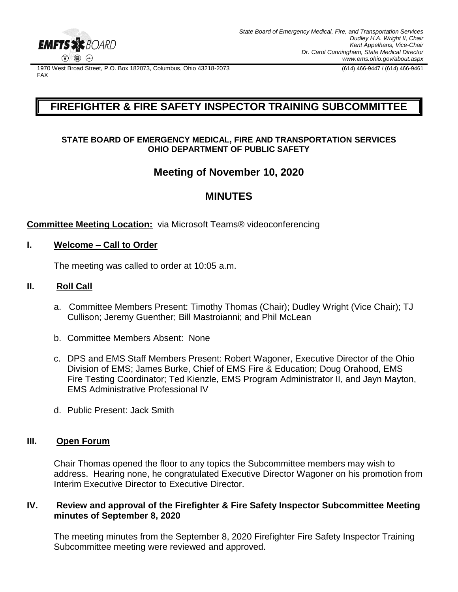

1970 West Broad Street, P.O. Box 182073, Columbus, Ohio 43218-2073 (614) 466-9447 / (614) 466-9461 FAX

# **FIREFIGHTER & FIRE SAFETY INSPECTOR TRAINING SUBCOMMITTEE**

## **STATE BOARD OF EMERGENCY MEDICAL, FIRE AND TRANSPORTATION SERVICES OHIO DEPARTMENT OF PUBLIC SAFETY**

# **Meeting of November 10, 2020**

# **MINUTES**

## **Committee Meeting Location:** via Microsoft Teams® videoconferencing

## **I. Welcome – Call to Order**

The meeting was called to order at 10:05 a.m.

## **II. Roll Call**

- a. Committee Members Present: Timothy Thomas (Chair); Dudley Wright (Vice Chair); TJ Cullison; Jeremy Guenther; Bill Mastroianni; and Phil McLean
- b. Committee Members Absent: None
- c. DPS and EMS Staff Members Present: Robert Wagoner, Executive Director of the Ohio Division of EMS; James Burke, Chief of EMS Fire & Education; Doug Orahood, EMS Fire Testing Coordinator; Ted Kienzle, EMS Program Administrator II, and Jayn Mayton, EMS Administrative Professional IV
- d. Public Present: Jack Smith

## **III. Open Forum**

Chair Thomas opened the floor to any topics the Subcommittee members may wish to address. Hearing none, he congratulated Executive Director Wagoner on his promotion from Interim Executive Director to Executive Director.

## **IV. Review and approval of the Firefighter & Fire Safety Inspector Subcommittee Meeting minutes of September 8, 2020**

The meeting minutes from the September 8, 2020 Firefighter Fire Safety Inspector Training Subcommittee meeting were reviewed and approved.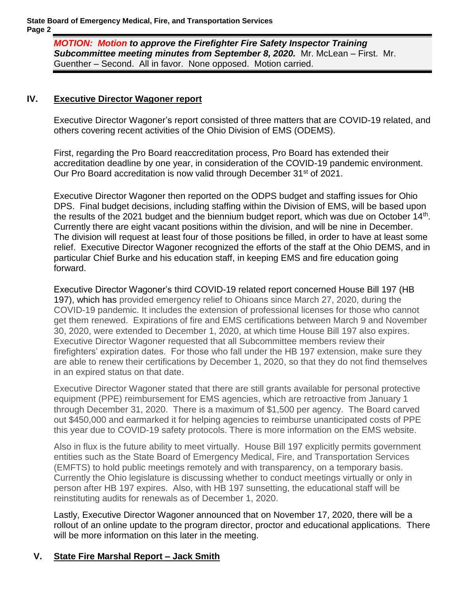*MOTION: Motion to approve the Firefighter Fire Safety Inspector Training*  **Subcommittee meeting minutes from September 8, 2020.** Mr. McLean – First. Mr. Guenther – Second. All in favor. None opposed. Motion carried.

## **IV. Executive Director Wagoner report**

Executive Director Wagoner's report consisted of three matters that are COVID-19 related, and others covering recent activities of the Ohio Division of EMS (ODEMS).

First, regarding the Pro Board reaccreditation process, Pro Board has extended their accreditation deadline by one year, in consideration of the COVID-19 pandemic environment. Our Pro Board accreditation is now valid through December 31<sup>st</sup> of 2021.

Executive Director Wagoner then reported on the ODPS budget and staffing issues for Ohio DPS. Final budget decisions, including staffing within the Division of EMS, will be based upon the results of the 2021 budget and the biennium budget report, which was due on October  $14<sup>th</sup>$ . Currently there are eight vacant positions within the division, and will be nine in December. The division will request at least four of those positions be filled, in order to have at least some relief. Executive Director Wagoner recognized the efforts of the staff at the Ohio DEMS, and in particular Chief Burke and his education staff, in keeping EMS and fire education going forward.

Executive Director Wagoner's third COVID-19 related report concerned House Bill 197 (HB 197), which has provided emergency relief to Ohioans since March 27, 2020, during the COVID-19 pandemic. It includes the extension of professional licenses for those who cannot get them renewed. Expirations of fire and EMS certifications between March 9 and November 30, 2020, were extended to December 1, 2020, at which time House Bill 197 also expires. Executive Director Wagoner requested that all Subcommittee members review their firefighters' expiration dates. For those who fall under the HB 197 extension, make sure they are able to renew their certifications by December 1, 2020, so that they do not find themselves in an expired status on that date.

Executive Director Wagoner stated that there are still grants available for personal protective equipment (PPE) reimbursement for EMS agencies, which are retroactive from January 1 through December 31, 2020. There is a maximum of \$1,500 per agency. The Board carved out \$450,000 and earmarked it for helping agencies to reimburse unanticipated costs of PPE this year due to COVID-19 safety protocols. There is more information on the EMS website.

Also in flux is the future ability to meet virtually. House Bill 197 explicitly permits government entities such as the State Board of Emergency Medical, Fire, and Transportation Services (EMFTS) to hold public meetings remotely and with transparency, on a temporary basis. Currently the Ohio legislature is discussing whether to conduct meetings virtually or only in person after HB 197 expires. Also, with HB 197 sunsetting, the educational staff will be reinstituting audits for renewals as of December 1, 2020.

Lastly, Executive Director Wagoner announced that on November 17, 2020, there will be a rollout of an online update to the program director, proctor and educational applications. There will be more information on this later in the meeting.

# **V. State Fire Marshal Report – Jack Smith**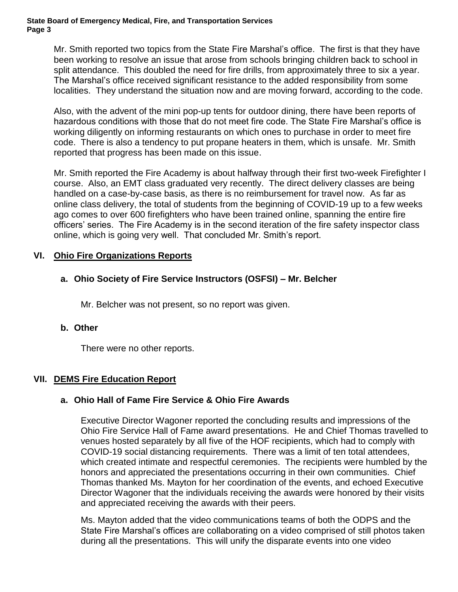#### **State Board of Emergency Medical, Fire, and Transportation Services Page 3**

Mr. Smith reported two topics from the State Fire Marshal's office. The first is that they have been working to resolve an issue that arose from schools bringing children back to school in split attendance. This doubled the need for fire drills, from approximately three to six a year. The Marshal's office received significant resistance to the added responsibility from some localities. They understand the situation now and are moving forward, according to the code.

Also, with the advent of the mini pop-up tents for outdoor dining, there have been reports of hazardous conditions with those that do not meet fire code. The State Fire Marshal's office is working diligently on informing restaurants on which ones to purchase in order to meet fire code. There is also a tendency to put propane heaters in them, which is unsafe. Mr. Smith reported that progress has been made on this issue.

Mr. Smith reported the Fire Academy is about halfway through their first two-week Firefighter I course. Also, an EMT class graduated very recently. The direct delivery classes are being handled on a case-by-case basis, as there is no reimbursement for travel now. As far as online class delivery, the total of students from the beginning of COVID-19 up to a few weeks ago comes to over 600 firefighters who have been trained online, spanning the entire fire officers' series. The Fire Academy is in the second iteration of the fire safety inspector class online, which is going very well. That concluded Mr. Smith's report.

## **VI. Ohio Fire Organizations Reports**

## **a. Ohio Society of Fire Service Instructors (OSFSI) – Mr. Belcher**

Mr. Belcher was not present, so no report was given.

## **b. Other**

There were no other reports.

## **VII. DEMS Fire Education Report**

## **a. Ohio Hall of Fame Fire Service & Ohio Fire Awards**

Executive Director Wagoner reported the concluding results and impressions of the Ohio Fire Service Hall of Fame award presentations. He and Chief Thomas travelled to venues hosted separately by all five of the HOF recipients, which had to comply with COVID-19 social distancing requirements. There was a limit of ten total attendees, which created intimate and respectful ceremonies. The recipients were humbled by the honors and appreciated the presentations occurring in their own communities. Chief Thomas thanked Ms. Mayton for her coordination of the events, and echoed Executive Director Wagoner that the individuals receiving the awards were honored by their visits and appreciated receiving the awards with their peers.

Ms. Mayton added that the video communications teams of both the ODPS and the State Fire Marshal's offices are collaborating on a video comprised of still photos taken during all the presentations. This will unify the disparate events into one video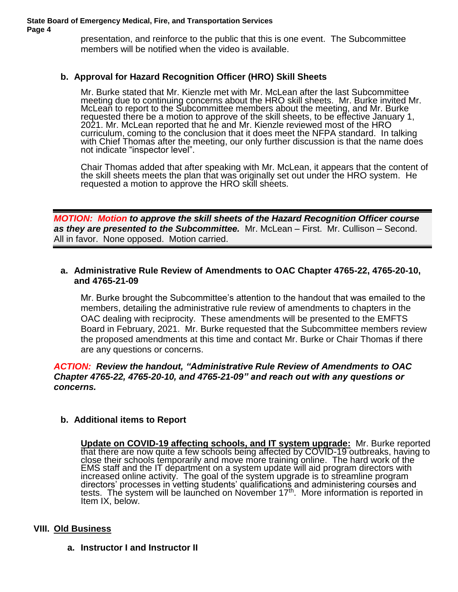presentation, and reinforce to the public that this is one event. The Subcommittee members will be notified when the video is available.

## **b. Approval for Hazard Recognition Officer (HRO) Skill Sheets**

Mr. Burke stated that Mr. Kienzle met with Mr. McLean after the last Subcommittee meeting due to continuing concerns about the HRO skill sheets. Mr. Burke invited Mr. McLean to report to the Subcommittee members about the meeting, and Mr. Burke requested there be a motion to approve of the skill sheets, to be effective January 1, 2021. Mr. McLean reported that he and Mr. Kienzle reviewed most of the HRO curriculum, coming to the conclusion that it does meet the NFPA standard. In talking with Chief Thomas after the meeting, our only further discussion is that the name does not indicate "inspector level".

Chair Thomas added that after speaking with Mr. McLean, it appears that the content of the skill sheets meets the plan that was originally set out under the HRO system. He requested a motion to approve the HRO skill sheets.

*MOTION: Motion to approve the skill sheets of the Hazard Recognition Officer course as they are presented to the Subcommittee.* Mr. McLean – First. Mr. Cullison – Second. All in favor. None opposed. Motion carried.

## **a. Administrative Rule Review of Amendments to OAC Chapter 4765-22, 4765-20-10, and 4765-21-09**

Mr. Burke brought the Subcommittee's attention to the handout that was emailed to the members, detailing the administrative rule review of amendments to chapters in the OAC dealing with reciprocity. These amendments will be presented to the EMFTS Board in February, 2021. Mr. Burke requested that the Subcommittee members review the proposed amendments at this time and contact Mr. Burke or Chair Thomas if there are any questions or concerns.

### *ACTION: Review the handout, "Administrative Rule Review of Amendments to OAC Chapter 4765-22, 4765-20-10, and 4765-21-09" and reach out with any questions or concerns.*

## **b. Additional items to Report**

**Update on COVID-19 affecting schools, and IT system upgrade:** Mr. Burke reported that there are now quite a few schools being affected by COVID-19 outbreaks, having to close their schools temporarily and move more training online. The hard work of the EMS staff and the IT department on a system update will aid program directors with increased online activity. The goal of the system upgrade is to streamline program directors' processes in vetting students' qualifications and administering courses and tests. The system will be launched on November 17<sup>th</sup>. More information is reported in Item IX, below.

#### **VIII. Old Business**

**a. Instructor I and Instructor II**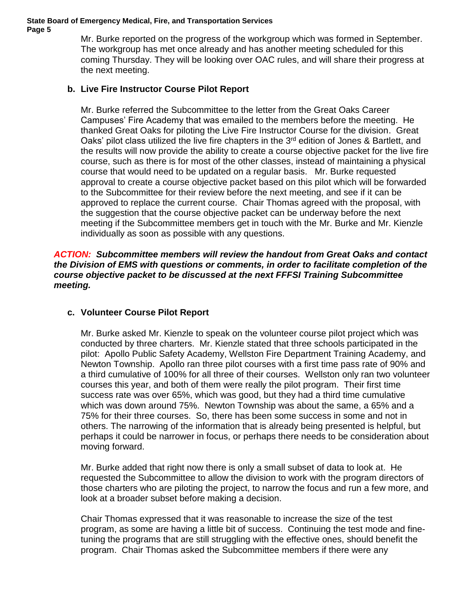#### **State Board of Emergency Medical, Fire, and Transportation Services Page 5**

Mr. Burke reported on the progress of the workgroup which was formed in September. The workgroup has met once already and has another meeting scheduled for this coming Thursday. They will be looking over OAC rules, and will share their progress at the next meeting.

## **b. Live Fire Instructor Course Pilot Report**

Mr. Burke referred the Subcommittee to the letter from the Great Oaks Career Campuses' Fire Academy that was emailed to the members before the meeting. He thanked Great Oaks for piloting the Live Fire Instructor Course for the division. Great Oaks' pilot class utilized the live fire chapters in the 3<sup>rd</sup> edition of Jones & Bartlett, and the results will now provide the ability to create a course objective packet for the live fire course, such as there is for most of the other classes, instead of maintaining a physical course that would need to be updated on a regular basis. Mr. Burke requested approval to create a course objective packet based on this pilot which will be forwarded to the Subcommittee for their review before the next meeting, and see if it can be approved to replace the current course. Chair Thomas agreed with the proposal, with the suggestion that the course objective packet can be underway before the next meeting if the Subcommittee members get in touch with the Mr. Burke and Mr. Kienzle individually as soon as possible with any questions.

### *ACTION: Subcommittee members will review the handout from Great Oaks and contact the Division of EMS with questions or comments, in order to facilitate completion of the course objective packet to be discussed at the next FFFSI Training Subcommittee meeting.*

## **c. Volunteer Course Pilot Report**

Mr. Burke asked Mr. Kienzle to speak on the volunteer course pilot project which was conducted by three charters. Mr. Kienzle stated that three schools participated in the pilot: Apollo Public Safety Academy, Wellston Fire Department Training Academy, and Newton Township. Apollo ran three pilot courses with a first time pass rate of 90% and a third cumulative of 100% for all three of their courses. Wellston only ran two volunteer courses this year, and both of them were really the pilot program. Their first time success rate was over 65%, which was good, but they had a third time cumulative which was down around 75%. Newton Township was about the same, a 65% and a 75% for their three courses. So, there has been some success in some and not in others. The narrowing of the information that is already being presented is helpful, but perhaps it could be narrower in focus, or perhaps there needs to be consideration about moving forward.

Mr. Burke added that right now there is only a small subset of data to look at. He requested the Subcommittee to allow the division to work with the program directors of those charters who are piloting the project, to narrow the focus and run a few more, and look at a broader subset before making a decision.

Chair Thomas expressed that it was reasonable to increase the size of the test program, as some are having a little bit of success. Continuing the test mode and finetuning the programs that are still struggling with the effective ones, should benefit the program. Chair Thomas asked the Subcommittee members if there were any